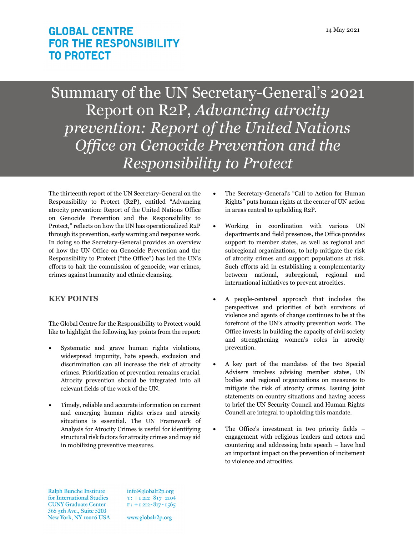# **GLOBAL CENTRE FOR THE RESPONSIBILITY TO PROTECT**

Summary of the UN Secretary-General's 2021 Report on R2P, *Advancing atrocity prevention: Report of the United Nations Office on Genocide Prevention and the Responsibility to Protect*

The thirteenth report of the UN Secretary-General on the Responsibility to Protect (R2P), entitled "Advancing atrocity prevention: Report of the United Nations Office on Genocide Prevention and the Responsibility to Protect," reflects on how the UN has operationalized R2P through its prevention, early warning and response work. In doing so the Secretary-General provides an overview of how the UN Office on Genocide Prevention and the Responsibility to Protect ("the Office") has led the UN's efforts to halt the commission of genocide, war crimes, crimes against humanity and ethnic cleansing.

## **KEY POINTS**

The Global Centre for the Responsibility to Protect would like to highlight the following key points from the report:

- Systematic and grave human rights violations, widespread impunity, hate speech, exclusion and discrimination can all increase the risk of atrocity crimes. Prioritization of prevention remains crucial. Atrocity prevention should be integrated into all relevant fields of the work of the UN.
- Timely, reliable and accurate information on current and emerging human rights crises and atrocity situations is essential. The UN Framework of Analysis for Atrocity Crimes is useful for identifying structural risk factors for atrocity crimes and may aid in mobilizing preventive measures.
- The Secretary-General's "Call to Action for Human Rights" puts human rights at the center of UN action in areas central to upholding R2P.
- Working in coordination with various UN departments and field presences, the Office provides support to member states, as well as regional and subregional organizations, to help mitigate the risk of atrocity crimes and support populations at risk. Such efforts aid in establishing a complementarity between national, subregional, regional and international initiatives to prevent atrocities.
- A people-centered approach that includes the perspectives and priorities of both survivors of violence and agents of change continues to be at the forefront of the UN's atrocity prevention work. The Office invests in building the capacity of civil society and strengthening women's roles in atrocity prevention.
- A key part of the mandates of the two Special Advisers involves advising member states, UN bodies and regional organizations on measures to mitigate the risk of atrocity crimes. Issuing joint statements on country situations and having access to brief the UN Security Council and Human Rights Council are integral to upholding this mandate.
- The Office's investment in two priority fields engagement with religious leaders and actors and countering and addressing hate speech – have had an important impact on the prevention of incitement to violence and atrocities.

**Ralph Bunche Institute** for International Studies **CUNY Graduate Center** 365 5th Ave., Suite 5203 New York, NY 10016 USA info@globalr2p.org  $T: +I 2I2 - 8I7 - 2I04$  $F: +I 2I2 - 8I7 - 1565$ 

www.globalr2p.org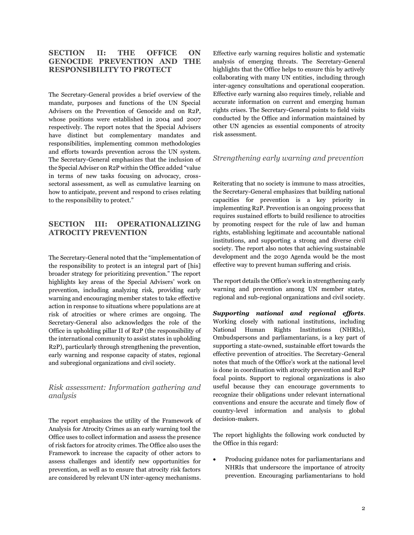## **SECTION II: THE OFFICE ON GENOCIDE PREVENTION AND THE RESPONSIBILITY TO PROTECT**

The Secretary-General provides a brief overview of the mandate, purposes and functions of the UN Special Advisers on the Prevention of Genocide and on R2P, whose positions were established in 2004 and 2007 respectively. The report notes that the Special Advisers have distinct but complementary mandates and responsibilities, implementing common methodologies and efforts towards prevention across the UN system. The Secretary-General emphasizes that the inclusion of the Special Adviser on R2P within the Office added "value in terms of new tasks focusing on advocacy, crosssectoral assessment, as well as cumulative learning on how to anticipate, prevent and respond to crises relating to the responsibility to protect."

## **SECTION III: OPERATIONALIZING ATROCITY PREVENTION**

The Secretary-General noted that the "implementation of the responsibility to protect is an integral part of [his] broader strategy for prioritizing prevention." The report highlights key areas of the Special Advisers' work on prevention, including analyzing risk, providing early warning and encouraging member states to take effective action in response to situations where populations are at risk of atrocities or where crimes are ongoing. The Secretary-General also acknowledges the role of the Office in upholding pillar II of R2P (the responsibility of the international community to assist states in upholding R2P), particularly through strengthening the prevention, early warning and response capacity of states, regional and subregional organizations and civil society.

#### *Risk assessment: Information gathering and analysis*

The report emphasizes the utility of the Framework of Analysis for Atrocity Crimes as an early warning tool the Office uses to collect information and assess the presence of risk factors for atrocity crimes. The Office also uses the Framework to increase the capacity of other actors to assess challenges and identify new opportunities for prevention, as well as to ensure that atrocity risk factors are considered by relevant UN inter-agency mechanisms.

Effective early warning requires holistic and systematic analysis of emerging threats. The Secretary-General highlights that the Office helps to ensure this by actively collaborating with many UN entities, including through inter-agency consultations and operational cooperation. Effective early warning also requires timely, reliable and accurate information on current and emerging human rights crises. The Secretary-General points to field visits conducted by the Office and information maintained by other UN agencies as essential components of atrocity risk assessment.

#### *Strengthening early warning and prevention*

Reiterating that no society is immune to mass atrocities, the Secretary-General emphasizes that building national capacities for prevention is a key priority in implementing R2P. Prevention is an ongoing process that requires sustained efforts to build resilience to atrocities by promoting respect for the rule of law and human rights, establishing legitimate and accountable national institutions, and supporting a strong and diverse civil society. The report also notes that achieving sustainable development and the 2030 Agenda would be the most effective way to prevent human suffering and crisis.

The report details the Office's work in strengthening early warning and prevention among UN member states, regional and sub-regional organizations and civil society.

*Supporting national and regional efforts.*  Working closely with national institutions, including National Human Rights Institutions (NHRIs), Ombudspersons and parliamentarians, is a key part of supporting a state-owned, sustainable effort towards the effective prevention of atrocities. The Secretary-General notes that much of the Office's work at the national level is done in coordination with atrocity prevention and R2P focal points. Support to regional organizations is also useful because they can encourage governments to recognize their obligations under relevant international conventions and ensure the accurate and timely flow of country-level information and analysis to global decision-makers.

The report highlights the following work conducted by the Office in this regard:

• Producing guidance notes for parliamentarians and NHRIs that underscore the importance of atrocity prevention. Encouraging parliamentarians to hold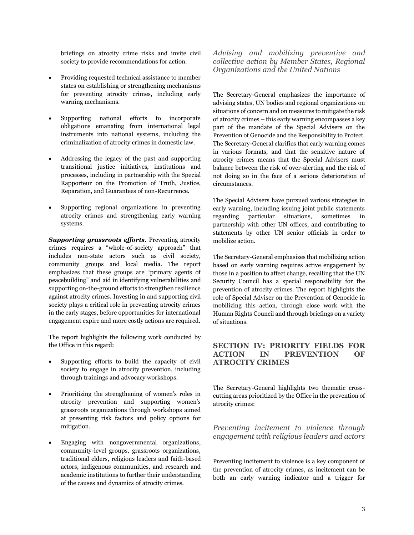briefings on atrocity crime risks and invite civil society to provide recommendations for action.

- Providing requested technical assistance to member states on establishing or strengthening mechanisms for preventing atrocity crimes, including early warning mechanisms.
- Supporting national efforts to incorporate obligations emanating from international legal instruments into national systems, including the criminalization of atrocity crimes in domestic law.
- Addressing the legacy of the past and supporting transitional justice initiatives, institutions and processes, including in partnership with the Special Rapporteur on the Promotion of Truth, Justice, Reparation, and Guarantees of non-Recurrence.
- Supporting regional organizations in preventing atrocity crimes and strengthening early warning systems.

*Supporting grassroots efforts.* Preventing atrocity crimes requires a "whole-of-society approach" that includes non-state actors such as civil society, community groups and local media. The report emphasizes that these groups are "primary agents of peacebuilding" and aid in identifying vulnerabilities and supporting on-the-ground efforts to strengthen resilience against atrocity crimes. Investing in and supporting civil society plays a critical role in preventing atrocity crimes in the early stages, before opportunities for international engagement expire and more costly actions are required.

The report highlights the following work conducted by the Office in this regard:

- Supporting efforts to build the capacity of civil society to engage in atrocity prevention, including through trainings and advocacy workshops.
- Prioritizing the strengthening of women's roles in atrocity prevention and supporting women's grassroots organizations through workshops aimed at presenting risk factors and policy options for mitigation.
- Engaging with nongovernmental organizations, community-level groups, grassroots organizations, traditional elders, religious leaders and faith-based actors, indigenous communities, and research and academic institutions to further their understanding of the causes and dynamics of atrocity crimes.

*Advising and mobilizing preventive and collective action by Member States, Regional Organizations and the United Nations*

The Secretary-General emphasizes the importance of advising states, UN bodies and regional organizations on situations of concern and on measures to mitigate the risk of atrocity crimes – this early warning encompasses a key part of the mandate of the Special Advisers on the Prevention of Genocide and the Responsibility to Protect. The Secretary-General clarifies that early warning comes in various formats, and that the sensitive nature of atrocity crimes means that the Special Advisers must balance between the risk of over-alerting and the risk of not doing so in the face of a serious deterioration of circumstances.

The Special Advisers have pursued various strategies in early warning, including issuing joint public statements regarding particular situations, sometimes in partnership with other UN offices, and contributing to statements by other UN senior officials in order to mobilize action.

The Secretary-General emphasizes that mobilizing action based on early warning requires active engagement by those in a position to affect change, recalling that the UN Security Council has a special responsibility for the prevention of atrocity crimes. The report highlights the role of Special Adviser on the Prevention of Genocide in mobilizing this action, through close work with the Human Rights Council and through briefings on a variety of situations.

### **SECTION IV: PRIORITY FIELDS FOR ACTION IN PREVENTION OF ATROCITY CRIMES**

The Secretary-General highlights two thematic crosscutting areas prioritized by the Office in the prevention of atrocity crimes:

*Preventing incitement to violence through engagement with religious leaders and actors*

Preventing incitement to violence is a key component of the prevention of atrocity crimes, as incitement can be both an early warning indicator and a trigger for